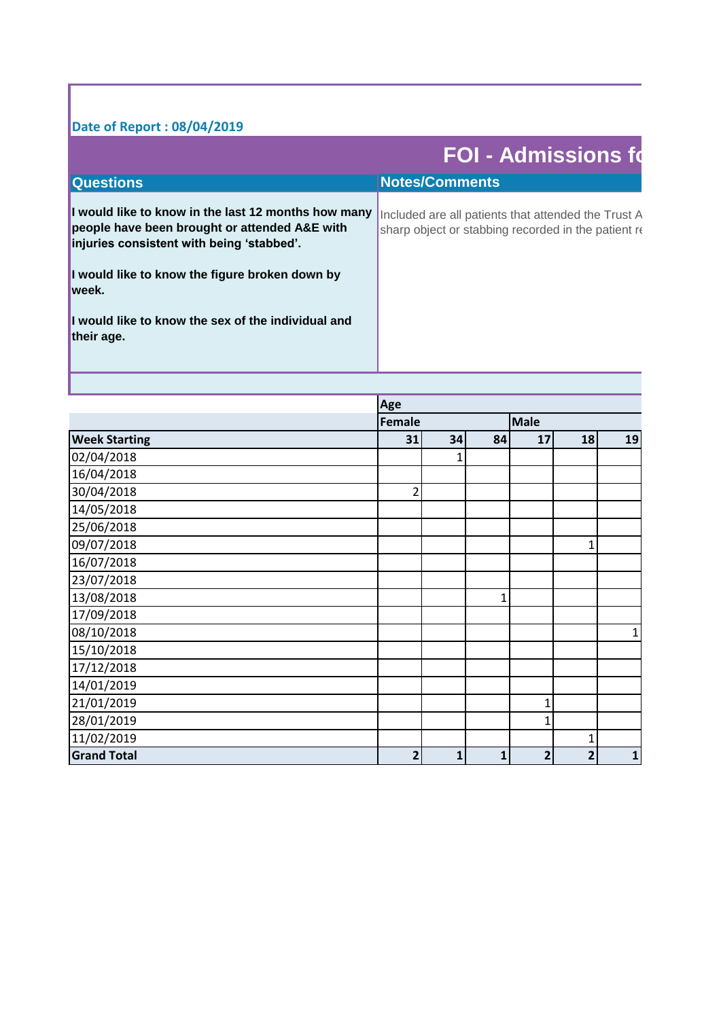## **Date of Report : 08/04/2019**

r

|                                                                                                                                                                                                        | <b>FOI - Admissions fo</b>                           |
|--------------------------------------------------------------------------------------------------------------------------------------------------------------------------------------------------------|------------------------------------------------------|
| Questions                                                                                                                                                                                              | <b>Notes/Comments</b>                                |
| I would like to know in the last 12 months how many  Included are all patients that attended the Trust A<br>people have been brought or attended A&E with<br>injuries consistent with being 'stabbed'. | sharp object or stabbing recorded in the patient re- |
| I would like to know the figure broken down by<br>lweek.                                                                                                                                               |                                                      |
| I would like to know the sex of the individual and<br>their age.                                                                                                                                       |                                                      |
|                                                                                                                                                                                                        |                                                      |

|                      | Age            |    |              |                |                |              |  |
|----------------------|----------------|----|--------------|----------------|----------------|--------------|--|
|                      | <b>Female</b>  |    |              | <b>Male</b>    |                |              |  |
| <b>Week Starting</b> | 31             | 34 | 84           | 17             | 18             | 19           |  |
| 02/04/2018           |                |    |              |                |                |              |  |
| 16/04/2018           |                |    |              |                |                |              |  |
| 30/04/2018           | $\overline{2}$ |    |              |                |                |              |  |
| 14/05/2018           |                |    |              |                |                |              |  |
| 25/06/2018           |                |    |              |                |                |              |  |
| 09/07/2018           |                |    |              |                | 1              |              |  |
| 16/07/2018           |                |    |              |                |                |              |  |
| 23/07/2018           |                |    |              |                |                |              |  |
| 13/08/2018           |                |    | $\mathbf{1}$ |                |                |              |  |
| 17/09/2018           |                |    |              |                |                |              |  |
| 08/10/2018           |                |    |              |                |                | $\mathbf{1}$ |  |
| 15/10/2018           |                |    |              |                |                |              |  |
| 17/12/2018           |                |    |              |                |                |              |  |
| 14/01/2019           |                |    |              |                |                |              |  |
| 21/01/2019           |                |    |              | 1              |                |              |  |
| 28/01/2019           |                |    |              | 1              |                |              |  |
| 11/02/2019           |                |    |              |                | 1              |              |  |
| <b>Grand Total</b>   | $\overline{2}$ | 1  | 1            | $\overline{2}$ | $\overline{2}$ | $\mathbf{1}$ |  |